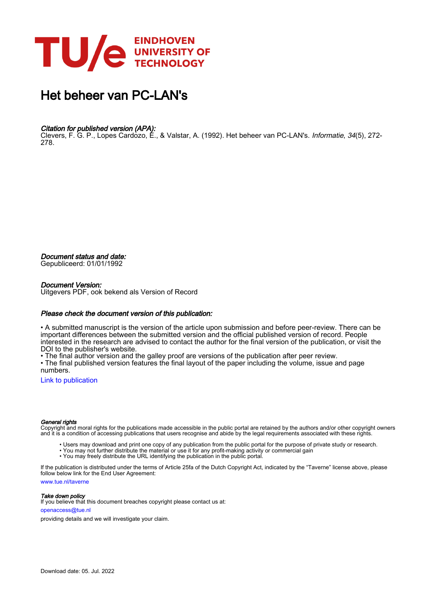

## Het beheer van PC-LAN's

#### Citation for published version (APA):

Clevers, F. G. P., Lopes Cardozo, E., & Valstar, A. (1992). Het beheer van PC-LAN's. *Informatie, 34*(5), 272-278.

Document status and date:

Gepubliceerd: 01/01/1992

#### Document Version:

Uitgevers PDF, ook bekend als Version of Record

#### Please check the document version of this publication:

• A submitted manuscript is the version of the article upon submission and before peer-review. There can be important differences between the submitted version and the official published version of record. People interested in the research are advised to contact the author for the final version of the publication, or visit the DOI to the publisher's website.

• The final author version and the galley proof are versions of the publication after peer review.

• The final published version features the final layout of the paper including the volume, issue and page numbers.

[Link to publication](https://research.tue.nl/nl/publications/43e1ca46-f00d-466b-bb3d-2f810f7f6dca)

#### General rights

Copyright and moral rights for the publications made accessible in the public portal are retained by the authors and/or other copyright owners and it is a condition of accessing publications that users recognise and abide by the legal requirements associated with these rights.

- Users may download and print one copy of any publication from the public portal for the purpose of private study or research.
- You may not further distribute the material or use it for any profit-making activity or commercial gain
- You may freely distribute the URL identifying the publication in the public portal.

If the publication is distributed under the terms of Article 25fa of the Dutch Copyright Act, indicated by the "Taverne" license above, please follow below link for the End User Agreement:

www.tue.nl/taverne

**Take down policy**<br>If you believe that this document breaches copyright please contact us at:

openaccess@tue.nl

providing details and we will investigate your claim.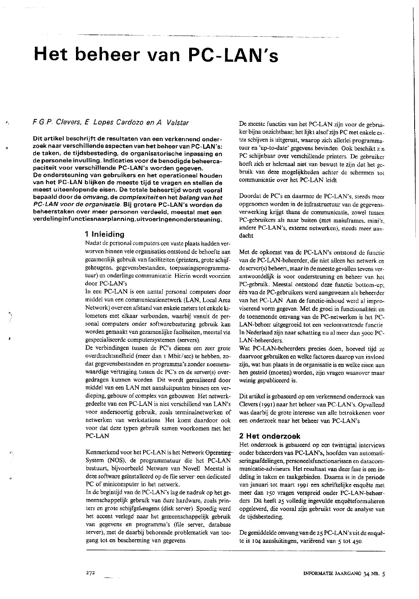# Het beheer van PC-LAN's

### F.G.P. Clevers, E. Lopes Cardozo en A. Valstar

Dit artikel beschrijft de resultaten van een verkennend onderzoek naar verschillende aspecten van het beheer van PC-LAN's: de taken, de tijdsbesteding, de organisatorische inpassing en de personele invulling. Indicaties voor de benodigde beheercapaciteit voor verschillende PC-LAN's worden gegeven. De ondersteuning van gebruikers en het operationeel houden van het PC-LAN blijken de meeste tijd te vragen en stellen de meest uiteenlopende eisen. De totale beheertijd wordt vooral bepaald door de omvang, de complexiteit en het belang van het PC-LAN voor de organisatie. Bij grotere PC-LAN's worden de beheerstaken over meer personen verdeeld, meestal met een verdelinginfunctiesnaarplanning, uitvoeringenondersteuning.

#### 1 Inleiding

Nadat de personal computers cen vaste plaats hadden verworven binnen vele organisaties ontstond de behoefte aan gezamenlijk gebruik van faciliteiten (printers, grote schijfgeheugens, gegevensbestanden, toepassingsprogrammatuur) en onderlinge communicatie. Hierin wordt voorzien door PC-LAN's

In een PC-LAN is een aantal personal computers door middel van een communicatienetwerk (LAN, Local Area Network) over een afstand van enkele meters tot enkele kilometers met elkaar verbonden, waarbij vanuit de personal computers onder softwarebesturing gebruik kan worden gemaakt van gezamenlijke faciliteiten, meestal via gespecialiseerde computersystemen (servers).

De verbindingen tussen de PC's dienen een zeer grote overdrachtsnelheid (meer dan 1 Mbit/sec) te hebben, zodat gegevensbestanden en programma's zonder noemenswaardige vertraging tussen de PC's en de server(s) overgedragen kunnen worden Dit wordt gerealiseerd door middel van een LAN met aansluitpunten binnen een verdieping, gebouw of complex van gebouwen. Het netwerkgedeelte van een PC-LAN is niet verschillend van LAN's voor andersoortig gebruik, zoals terminalnetwerken of netwerken van werkstations. Het komt daardoor ook voor dat deze typen gebruik samen voorkomen met het PC-LAN

Kenmerkend voor het PC-LAN is het Network Operating-System (NOS), de programmatuur die het PC-LAN bestuurt, bijvoorbeeld Netware van Novell Meestal is deze software geïnstalleerd op de file server: een dedicated PC of minicomputer in het netwerk.

In de begintijd van de PC-LAN's lag de nadruk op het gemeenschappelijk gebruik van dure hardware, zoals printers en grote schijfgeheugens (disk server) Spoedig werd het accent verlegd naar het gemeenschappelijk gebruik van gegevens en programma's (file server, database server), met de daarbij behorende problematiek van toegang tot en bescherming van gegevens.

De meeste functies van het PC-LAN zijn voor de gebruiker bijna onzichtbaar; het lijkt alsof zijn PC met enkele extra schijven is uitgerust, waarop zich allerlei programmatuur en 'up-to-date' gegevens bevinden. Ook beschikt z n PC schijnbaar over verschillende printers. De gebruiker hoeft zich er helemaal niet van bewust te zijn dat het gebruik van deze mogelijkheden achter de schermen tot communicatie over het PC-LAN leidt

Doordat de PC's en daarmee de PC-LAN's, steeds meer opgenomen worden in de infrastructuur van de gegevensverwerking krijgt thans de communicatie, zowel tussen PC-gebruikers als naar buiten (met mainframes, mini's, andere PC-LAN's, externe netwerken), steeds meer aandacht.

Met de opkomst van de PC-LAN's ontstond de functie van de PC-LAN-beheerder, die niet alleen het netwerk en de server(s) beheert, maar in de meeste gevallen tevens verantwoordelijk is voor ondersteuning en beheer van het PC-gebruik. Meestal ontstond deze functie bottom-up; één van de PC-gebruikers werd aangewezen als beheerder van het PC-LAN Aan de functie-inhoud werd al improviserend vorm gegeven. Met de groei in functionaliteit en de toenemende omvang van de PC-netwerken is het PC-LAN-beheer uitgegroeid tot een veelomvattende functie In Nederland zijn naar schatting nu al meer dan 5000 PC-LAN-beheerders.

Wat PC-LAN-beheerders precies doen, hoeveel tijd ze daarvoor gebruiken en welke factoren daarop van invloed zijn, wat hun plaats in de organisatie is en welke eisen aan hen gesteld (moeten) worden, zijn vragen waarover maar weinig gepubliceerd is.

Dit artikel is gebaseerd op een verkennend onderzoek van Clevers (1991) naar het beheer van PC-LAN's. Opvallend was daarbij de grote interesse van alle betrokkenen voor een onderzoek naar het beheer van PC-LAN's.

#### 2 Het onderzoek

Het onderzoek is gebaseerd op een twintigtal interviews onder beheerders van PC-LAN's, hoofden van automatiseringsafdelingen, personeelsfunctionarissen en datacommunicatie-adviseurs. Het resultaat van deze fase is een indeling in taken en taakgebieden. Daarna is in de periode van januari tot maart 1991 een schriftelijke enquête met meer dan 150 vragen verspreid onder PC-LAN-beheerders Dit heeft 25 volledig ingevulde enquêteformulieren opgeleverd, die vooral zijn gebruikt voor de analyse van de tijdsbesteding.

De gemiddelde omvang van de 25 PC-LAN's uit de enquête is 104 aansluitingen, variërend van 5 tot 450.

272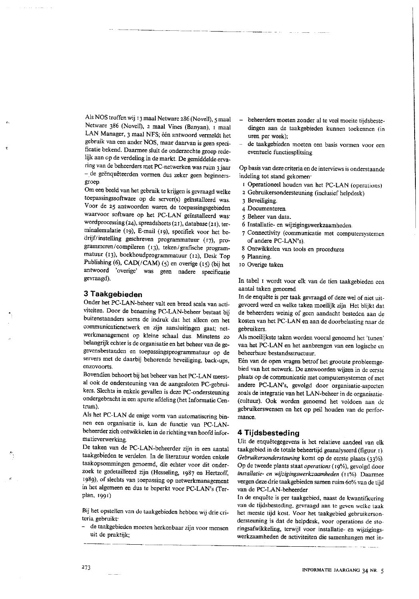Als NOS troffen wij 13 maal Netware 286 (Novell), 5 maal Netware 386 (Novell), 2 maal Vines (Banyan), 1 maal LAN Manager, 3 maal NFS; één antwoord vermeldt het gebruik van een ander NOS, maar daarvan is geen specificatie bekend. Daarmee sluit de onderzochte groep redelijk aan op de verdeling in de markt. De gemiddelde ervaring van de beheerders met PC-netwerken was ruim 3 jaar - de geënquêteerden vormen dus zeker geen beginnersgroep.

Om een beeld van het gebruik te krijgen is gevraagd welke toepassingssoftware op de server(s) geïnstalleerd was. Voor de 25 antwoorden waren de toepassingsgebieden waarvoor software op het PC-LAN geïnstalleerd was: wordprocessing (24), spreadsheets (21), database (21), terminalemulatie (19), E-mail (19), specifiek voor het bedrijf/instelling geschreven programmatuur (17), programmeren/compileren (13), teken/grafische programmatuur (13), boekhoudprogrammatuur (12), Desk Top Publishing (6), CAD(/CAM) (5) en overige (15) (bij het antwoord 'overige' was geen nadere specificatie gevraagd).

### 3 Taakgebieden

Onder het PC-LAN-beheer valt een breed scala van activiteiten. Door de benaming PC-LAN-beheer bestaat bij buitenstaanders soms de indruk dat het alleen om het communicatienetwerk en zijn aansluitingen gaat; netwerkmanagement op kleine schaal dus. Minstens zo belangrijk echter is de organisatie en het beheer van de gegevensbestanden en toepassingsprogrammatuur op de servers met de daarbij behorende beveiliging, back-ups, enzovoorts

Bovendien behoort bij het beheer van het PC-LAN meestal ook de ondersteuning van de aangesloten PC-gebruikers. Slechts in enkele gevallen is deze PC-ondersteuning ondergebracht in een aparte afdeling (het Informatie Centrum).

Als het PC-LAN de enige vorm van automatiscring binnen een organisatie is, kan de functie van PC-LANbeheerder zich ontwikkelen in de richting van hoofd informatieverwerking.

De taken van de PC-LAN-beheerder zijn in een aantal taakgebieden te verdelen. In de literatuur worden enkele taakopsommingen genoemd, die echter voor dit onderzoek te gedetailleerd zijn (Hesseling, 1987 en Hertzoff, 1989), of slechts van toepassing op netwerkmanagement in het algemeen en dus te beperkt voor PC-LAN's (Terplan. 1991)

Bij het opstellen van de taakgebieden hebben wij drie criteria gebruikt:

de taakgebieden moeten herkenbaar zijn voor mensen uit de praktijk;

- beheerders moeten zonder al te veel moeite tijdsbestedingen aan de taakgebieden kunnen toekennen (in uren per week);
- de taakgebieden moeten een basis vormen voor een eventuele functiesplitsing

Op basis van deze criteria en de interviews is onderstaande indeling tot stand gekomen.

- 1 Operationeel houden van het PC-LAN (operations)
- 2 Gebruikersondersteuning (inclusief helpdesk)
- 3 Beveiliging.
- 4 Documenteren.
- 5 Beheer van data.
- 6 Installatie- en wijzigingswerkzaamheden.
- 7 Connectivity (communicatie met computersystemen of andere PC-LAN's).
- 8 Ontwikkelen van tools en procedures.
- 9 Planning.
- 10 Overige taken

In tabel I wordt voor elk van de tien taakgebieden een aantal taken genoemd.

In de enquête is per taak gevraagd of deze wel of niet uitgevoerd werd en welke taken moeilijk zijn Het blijkt dat de beheerders weinig of geen aandacht besteden aan de kosten van het PC-LAN en aan de doorbelasting naar de gebruikers.

Als moeilijkste taken worden vooral genoemd het 'tunen' van het PC-LAN en het aanbrengen van een logische en beheerbare bestandsstructuur.

Eén van de open vragen betrof het grootste probleemgebied van het netwerk. De antwoorden wijzen in de eerste plaats op de communicatie met computersystemen of met andere PC-LAN's, gevolgd door organisatie-aspecten zoals de integratie van het LAN-beheer in de organisatie-(cultuur). Ook worden genoemd het voldoen aan de gebruikerswensen en het op peil houden van de performance.

#### 4 Tijdsbesteding

Uit de enquêtegegevens is het relatieve aandeel van elk taakgebied in de totale beheertijd geanalyseerd (figuur 1). Gebruikersondersteuning komt op de eerste plaats (33%). Op de tweede plaats staat operations (19%), gevolgd door installatie- en wijzigingswerkzaamheden (11%). Daarmee vergen deze drie taakgebieden samen ruim 60% van de tijd van de PC-LAN-beheerder

In de enquête is per taakgebied, naast de kwantificering van de tijdsbesteding, gevraagd aan te geven welke taak het meeste tijd kost. Voor het taakgebied gebruikersondersteuning is dat de helpdesk, voor operations de storingsafwikkeling, terwijl voor installatie- en wijzigingswerkzaamheden de activiteiten die samenhangen met in-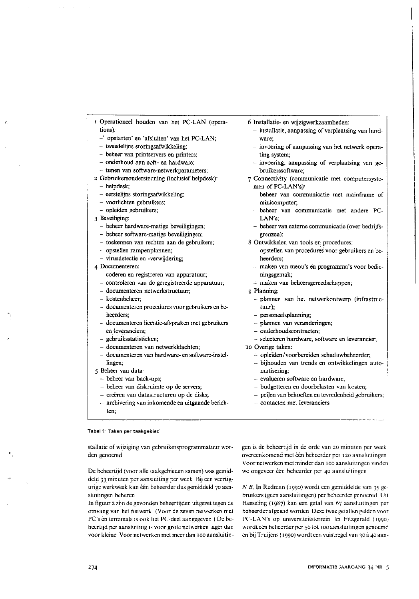- I Operationeel houden van het PC-LAN (operations):
	- -' opstarten' en 'afsluiten' van het PC-LAN:
	- tweedelijns storingsafwikkeling;
	- beheer van printservers en printers;
	- onderhoud aan soft- en hardware;
	- tunen van software-netwerkparameters;
- 2 Gebruikersondersteuning (inclusief helpdesk): - helpdesk;
	- eersteliins storingsafwikkeling:
	- voorlichten gebruikers;
	- opleiden gebruikers;
- 3 Beveiliging:
	- beheer hardware-matige beveiligingen;
	- beheer software-matige beveiligingen:
	- toekennen van rechten aan de gebruikers;
	- opstellen rampenplannen;
	- virusdetectie en -verwijdering;
- 4 Documenteren:
	- coderen en registreren van apparatuur;
	- controleren van de geregistreerde apparatuur;
	- documenteren netwerkstructuur:
	- kostenbeheer:
	- documenteren procedures voor gebruikers en beneerders:
	- documenteren licentie-afspraken met gebruikers en leveranciers;
	- gebruiksstatistieken;
- documenteren van netwerkklachten:
- documenteren van hardware- en software-instellingen;
- 5 Beheer van data
	- beheer van back-ups;
	- beheer van diskruimte op de servers;
	- creëren van datastructuren op de disks;
	- archivering van inkomende en uitgaande berichten<sup>-</sup>

#### Tabel 1: Taken per taakgebied

stallatic of wijziging van gebruikersprogrammatuur worden genoemd

De beheertijd (voor alle taakgebieden samen) was gemiddeld 33 minuten per aansluiting per week Bij een veertigurige werkweek kan één beheerder dus gemiddeld 70 aansluitingen beheren

In figuur 2 zijn de gevonden beheertijden uitgezet tegen de omvang van het netwerk (Voor de zeven netwerken met PC's èn terminals is ook het PC-deel aangegeven ) De beheertijd per aansluiting is voor grote netwerken lager dan voor kleine Voor netwerken met meer dan 100 aansluitin6 Installatie- en wijzigwerkzaamheden:

- installatie, aanpassing of verplaatsing van hardware:
- invoering of aanpassing van het netwerk operating system;
- invoering, aanpassing of verplaatsing van gebruikerssoftware:
- 7 Connectivity (communicatie met computersystemen of PC-LAN's):
- beheer van communicatie met mainframe of minicomputer;
- beheer van communicatie met andere PC-LAN's;
- beheer van externe communicatie (over bedrijfsgrenzen):
- 8 Ontwikkelen van tools en procedures:
	- opstellen van procedures voor gebruikers en beheerders:
	- maken van menu's en programma's voor bedieningsgemak;
	- maken van beheersgereedschappen;
- 9 Planning:
	- plannen van het netwerkontwerp (infrastruc $tuur)$ ;
	- personeelsplanning;
	- plannen van veranderingen;
	- onderhoudscontracten;
	- selecteren hardware, software en leverancier;
- IO Overige taken:
	- opleiden/voorbereiden schaduwbeheerder;
	- bijhouden van trends en ontwikkelingen automatisering:
	- evalueren software en hardware;
	- budgetteren en doorbelasten van kosten;
	- peilen van behoeften en tevredenheid gebruikers;
	- contacten met leveranciers

gen is de beheertijd in de orde van 20 minuten per week overeenkomend met één beheerder per 120 aansluitingen Voor netwerken met minder dan 100 aansluitingen vinden we ongeveer één beheerder per 40 aansluitingen

N B. In Redman (1990) wordt een gemiddelde van 35 gebruikers (geen aansluitingen) per beheerder genoemd Uit Hesseling (1987) kan een getal van 67 aansluitingen per beheerder afgeleid worden Deze twee getallen gelden voor PC-LAN's op universiteitsterrein In Fitzgerald (1990) wordt één beheerder per 50 tot 100 aansluitingen genoemd en bij Truijens (1990) wordt een vuistregel van 30 à 40 aan-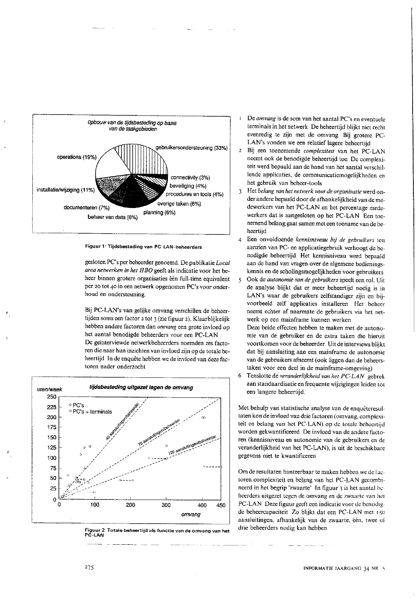

Figuur 1' Tijdsbesteding van PC-LAN-beheerders

gesloten PC's per beheerder genoemd. De publikatie Local area netwerken in het HBO geeft als indicatie voor het beheer binnen grotere organisaties één full-time equivalent per 20 tot 40 in een netwerk opgenomen PC's voor onderhoud en ondersteuning.

Bij PC-LAN's van gelijke omvang verschillen de beheertijden soms een factor 2 tot 3 (zie figuur 2). Klaarblijkelijk hebben andere factoren dan omvang een grote invloed op het aantal benodigde beheerders voor een PC-LAN De geïnterviewde netwerkbeheerders noemden zes factoren die naar hun inzichten van invloed zijn op de totale beheertijd In de enquête hebben we de invloed van deze factoren nader onderzocht



Figuur 2: Totale beheertijd als functie van de omvang van het **PC-LAN** 

- De omvang is de som van het aantal PC's en eventuele terminals in het netwerk De beheertijd blijkt niet recht evenredig te zijn met de omvang. Bij grotere PC-LAN's vonden we een relatief lagere beheertijd
- 2 Bij een toenemende complexiteit van het PC-LAN neemt ook de benodigde beheertijd toe. De complexiteit werd bepaald aan de hand van het aantal verschillende applicaties, de communicatiemogelijkheden en het gebruik van beheer-tools.
- $\overline{3}$ Het belang van het netwerk voor de organisatie werd onder andere bepaald door de afhankelijkheid van de medewerkers van het PC-LAN en het percentage medewerkers dat is aangesloten op het PC-LAN Een toenemend belang gaat samen met een toename van de beheertijd
- $\overline{4}$ Een onvoldoende kennisniveau bij de gebruikers ten aanzien van PC- en applicatiegebruik verhoogt de benodigde beheertijd. Het kennisniveau werd bepaald aan de hand van vragen over de algemene bedieningskennis en de scholingsmogelijkheden voor gebruikers
- Ook de autonomie van de gebruikers speelt een rol. Uit  $\varsigma$ de analyse blijkt dat er meer beheertijd nodig is in LAN's waar de gebruikers zelfstandiger zijn en bijvoorbeeld zelf applicaties installeren Het beheer neemt echter af naarmate de gebruikers via het netwerk op een mainframe kunnen werken.

Deze beide effecten hebben te maken met de autonomie van de gebruiker en de extra taken die hieruit voortkomen voor de beheerder. Uit de interviews blijkt dat bij aansluiting aan een mainframe de autonomie van de gebruikers afneemt (ook liggen dan de beheerstaken voor een deel in de mainframe-omgeving)

 $\boldsymbol{6}$ Tenslotte de veranderlijkheid van het PC-LAN gebrek aan standaardisatie en frequente wijzigingen leiden tot een langere beheertijd.

Met behulp van statistische analyse van de enquêteresultaten kon de invloed van drie factoren (omvang, complexiteit en belang van het PC LAN) op de totale beheertijd worden gekwantificeerd. De invloed van de andere factoren (kennisniveau en autonomie van de gebruikers en de veranderlijkheid van het PC-LAN), is uit de beschikbare gegevens niet te kwantificeren

Om de resultaten hanteerbaar te maken hebben we de factoren complexiteit en belang van het PC-LAN gecombineerd in het begrip 'zwaarte' In figuur 3 is het aantal beheerders uitgezet tegen de omvang en de zwaarte van het PC-LAN Deze figuur geeft een indicatie voor de benodigde beheercapaciteit Zo blijkt dat een PC-LAN met 150 aansluitingen, afhankelijk van de zwaarte, één, twee of drie beheerders nodig kan hebben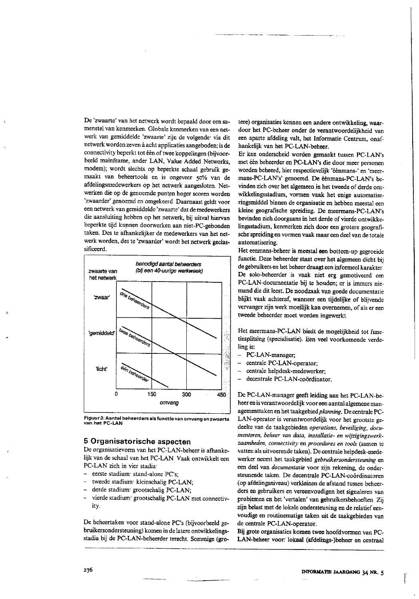De 'zwaarte' van het netwerk wordt bepaald door een samenstel van kenmerken. Globale kenmerken van een netwerk van gemiddelde 'zwaarte' zijn de volgende: via dit netwerk worden zeven à acht applicaties aangeboden; is de connectivity beperkt tot één of twee koppelingen (bijvoorbeeld mainframe, ander LAN, Value Added Networks, modem); wordt slechts op beperkte schaal gebruik gemaakt van beheertools en is ongeveer 50% van de afdelingsmedewerkers op het netwerk aangesloten. Netwerken die op de genoemde punten hoger scoren worden 'zwaarder' genoemd en omgekeerd. Daarnaast geldt voor een netwerk van gemiddelde 'zwaarte' dat de medewerkers die aansluiting hebben op het netwerk, bij uitval hiervan beperkte tijd kunnen doorwerken aan niet-PC-gebonden taken. Des te afhankelijker de medewerkers van het netwerk worden, des te 'zwaarder' wordt het netwerk geclassificeerd.



Figuur 3: Aantal beheerders als functie van omvang en zwaarte van het PC-LAN

#### 5 Organisatorische aspecten

De organisatievorm van het PC-LAN-beheer is afhankelijk van de schaal van het PC-LAN. Vaak ontwikkelt een PC-LAN zich in vier stadia:

- eerste stadium: stand-alone PC's;
- tweede stadium: kleinschalig PC-LAN;
- derde stadium: grootschalig PC-LAN;
- vierde stadium: grootschalig PC-LAN met connectivity.

De beheertaken voor stand-alone PC's (bijvoorbeeld gebruikersondersteuning) komen in de latere ontwikkelingsstadia bij de PC-LAN-beheerder terecht. Sommige (grotere) organisaties kennen een andere ontwikkeling, waardoor het PC-beheer onder de verantwoordelijkheid van een aparte afdeling valt, het Informatie Centrum, onafhankelijk van het PC-LAN-beheer.

Er kan onderscheid worden gemaakt tussen PC-LAN's met één beheerder en PC-LAN's die door meer personen worden beheerd, hier respectievelijk 'éénmans-' en 'meermans-PC-LAN's' genoemd. De éénmans-PC-LAN's bevinden zich over het algemeen in het tweede of derde ontwikkelingsstadium, vormen vaak het enige automatiseringsmiddel binnen de organisatie en hebben meestal een kleine geografische spreiding. De meermans-PC-LAN's bevinden zich doorgaans in het derde of vierde ontwikkelingsstadium, kenmerken zich door een grotere geografische spreiding en vormen vaak maar een deel van de totale automatisering.

Het eenmans-beheer is meestal een bottom-up gegroeide functie. Deze beheerder staat over het algemeen dicht bij de gebruikers en het beheer draagt een informeel karakter De solo-beheerder is vaak niet erg gemotiveerd om PC-LAN-documentatie bij te houden; er is immers niemand die dit leest. De noodzaak van goede documentatie blijkt vaak achteraf, wanneer een tijdelijke of blijvende vervanger zijn werk moeilijk kan overnemen, of als er een tweede beheerder moet worden ingewerkt.

Het meermans-PC-LAN biedt de mogelijkheid tot functiesplitsing (specialisatie). Een veel voorkomende verdeling is:

- PC-LAN-manager;  $\overline{\phantom{0}}$
- $\overline{a}$ centrale PC-LAN-operator;
- $\overline{a}$ centrale helpdesk-medewerker;
- $\overline{a}$ decentrale PC-LAN-coördinator.

De PC-LAN-manager geeft leiding aan het PC-LAN-beheer en is verantwoordelijk voor een aantal algemene managementtaken en het taakgebied planning. De centrale PC-LAN-operator is verantwoordelijk voor het grootste gedeelte van de taakgebieden operations, beveiliging, documenteren, beheer van data, installatie- en wijzigingswerkzaamheden, connectivity en procedures en tools (samen te vatten als uitvoerende taken). De centrale helpdesk-medewerker neemt het taakgebied gebruikersondersteuning en een deel van *documentatie* voor zijn rekening, de ondersteunende taken. De decentrale PC-LAN-coördinatoren (op afdelingsniveau) verkleinen de afstand tussen beheerders en gebruikers en vereenvoudigen het signaleren van problemen en het 'vertalen' van gebruikersbehoeften. Zij zijn belast met de lokale ondersteuning en de relatief eenvoudige en routinematige taken uit de taakgebieden van de centrale PC-LAN-operator.

Bij grote organisaties komen twee hoofdvormen van PC-LAN-beheer voor: lokaal (afdelings-)beheer en centraal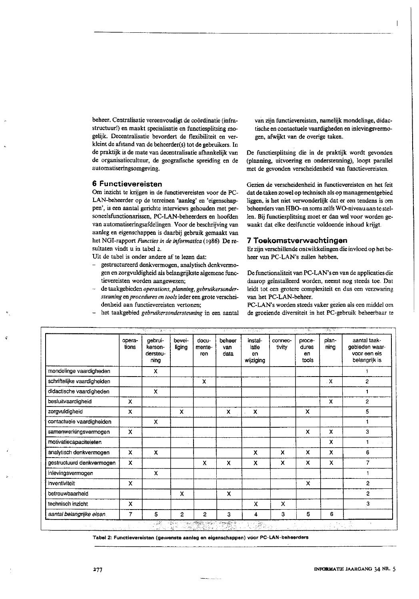beheer. Centralisatie vereenvoudigt de coördinatie (infrastructuur!) en maakt specialisatie en functiesplitsing mogelijk. Decentralisatie bevordert de flexibiliteit en verkleint de afstand van de beheerder(s) tot de gebruikers. In de praktijk is de mate van decentralisatie afhankelijk van de organisatiecultuur, de geografische spreiding en de automatiseringsomgeving.

#### 6 Functievereisten

Om inzicht te krijgen in de functievereisten voor de PC-LAN-beheerder op de terreinen 'aanleg' en 'eigenschappen', is een aantal gerichte interviews gehouden met personeelsfunctionarissen, PC-LAN-beheerders en hoofden van automatiseringsafdelingen. Voor de beschrijving van aanleg en eigenschappen is daarbij gebruik gemaakt van het NGI-rapport Functies in de informatica (1986). De resultaten vindt u in tabel 2.

Uit de tabel is onder andere af te lezen dat:

- gestructureerd denkvermogen, analytisch denkvermogen en zorgvuldigheid als belangrijkste algemene functievereisten worden aangewezen;
- de taakgebieden operations, planning, gebruikersondersteuning en procedures en tools ieder een grote verscheidenheid aan functievereisten vertonen;
- het taakgebied gebruikersondersteuning in een aantal

van zijn functievereisten, namelijk mondelinge, didactische en contactuele vaardigheden en inlevingsvermogen, afwijkt van de overige taken.

De functiesplitsing die in de praktijk wordt gevonden (planning, uitvoering en ondersteuning), loopt parallel met de gevonden verscheidenheid van functievereisten.

Gezien de verscheidenheid in functievereisten en het feit dat de taken zowel op technisch als op managementgebied liggen, is het niet verwonderlijk dat er een tendens is om beheerders van HBO- en soms zelfs WO-niveau aan te stellen. Bij functiesplitsing moet er dan wel voor worden gewaakt dat elke deelfunctie voldoende inhoud krijgt.

#### 7 Toekomstverwachtingen

Er zijn verschillende ontwikkelingen die invloed op het beheer van PC-LAN's zullen hebben.

De functionaliteit van PC-LAN's en van de applicaties die daarop geïnstalleerd worden, neemt nog steeds toe. Dat leidt tot een grotere complexiteit en dus een verzwaring van het PC-LAN-beheer.

PC-LAN's worden steeds vaker gezien als een middel om de groeiende diversiteit in het PC-gebruik beheerbaar te

|                             | opera-<br>tions           | gebrui-<br>kerson-<br>dersteu-<br>ning | bevei-<br>liging | docu-<br>mente-<br>ren | beheer<br>van<br>data | instal-<br>latie<br>en<br>wijziging | connec-<br>tivity         | proce-<br>dures<br>en<br>tools | plan-<br>ning | aantal taak-<br>gebieden waar-<br>voor een eis<br>belangrijk is |
|-----------------------------|---------------------------|----------------------------------------|------------------|------------------------|-----------------------|-------------------------------------|---------------------------|--------------------------------|---------------|-----------------------------------------------------------------|
| mondelinge vaardigheden     |                           | $\mathbf{x}$                           |                  |                        |                       |                                     |                           |                                |               |                                                                 |
| schriftelijke vaardigheiden |                           |                                        |                  | X                      |                       |                                     |                           |                                | .X            | $\overline{2}$                                                  |
| didactische vaardigheden    |                           | X                                      |                  |                        |                       |                                     |                           |                                |               | 1                                                               |
| besluitvaardigheid          | X                         |                                        |                  |                        |                       |                                     |                           |                                | X.            | $\overline{2}$                                                  |
| zorgvuldigheid              | X                         |                                        | X                |                        | x                     | X                                   |                           | X                              |               | 5                                                               |
| contactuele vaardigheiden   |                           | $\mathsf{x}$                           |                  |                        |                       |                                     |                           |                                |               |                                                                 |
| samenwerkingsvermogen       | $\mathsf{x}$              |                                        |                  |                        |                       |                                     |                           | X                              | X             | 3                                                               |
| motivatiecapaciteieten      |                           |                                        |                  |                        |                       |                                     |                           |                                | X             | 1                                                               |
| analytisch denkvermogen     | X                         | $\mathbf{x}$                           |                  |                        |                       | X                                   | $\boldsymbol{\mathsf{x}}$ | $\boldsymbol{\mathsf{x}}$      | X             | 6                                                               |
| gestructuurd denkvermogen   | $\mathsf{x}$              |                                        |                  | X                      | X                     | X                                   | x                         | X                              | X             | $\overline{7}$                                                  |
| inlevingsvermogen           |                           | x                                      |                  |                        |                       |                                     |                           |                                |               |                                                                 |
| inventiviteit               | $\mathsf{X}^{\mathsf{c}}$ |                                        |                  |                        |                       |                                     |                           | X                              |               | 2                                                               |
| betrouwbaarheid             |                           |                                        | X                |                        | $\mathsf{x}$          |                                     |                           |                                |               | $\overline{c}$                                                  |
| technisch inzicht           | X                         |                                        |                  |                        |                       | X                                   | $\boldsymbol{\mathsf{x}}$ |                                |               | 3                                                               |
| aantal belangrijke eisen    | 7                         | 5.                                     | 2                | 2                      | 3                     | 4                                   | З                         | 5                              | 6             |                                                                 |

Tabel 2: Functievereisten (gewenste aanleg en eigenschappen) voor PC-LAN-beheerders